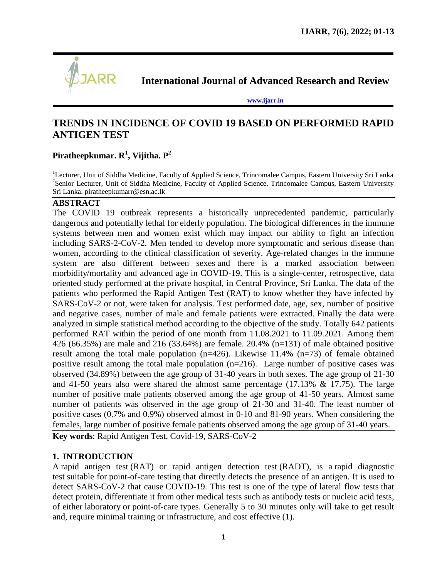

**International Journal of Advanced Research and Review**

**[www.ijarr.in](http://www.ijarr.in/)**

# **TRENDS IN INCIDENCE OF COVID 19 BASED ON PERFORMED RAPID ANTIGEN TEST**

# **Piratheepkumar. R<sup>1</sup> , Vijitha. P<sup>2</sup>**

<sup>1</sup>Lecturer, Unit of Siddha Medicine, Faculty of Applied Science, Trincomalee Campus, Eastern University Sri Lanka <sup>2</sup>Senior Lecturer, Unit of Siddha Medicine, Faculty of Applied Science, Trincomalee Campus, Eastern University Sri Lanka. [piratheepkumarr@esn.ac.lk](mailto:piratheepkumarr@esn.ac.lk)

### **ABSTRACT**

The COVID 19 outbreak represents a historically unprecedented pandemic, particularly dangerous and potentially lethal for elderly population. The biological differences in the immune systems between men and women exist which may impact our ability to fight an infection including SARS-2-CoV-2. Men tended to develop more symptomatic and serious disease than women, according to the clinical classification of severity. Age-related changes in the immune system are also different between sexes and there is a marked association between morbidity/mortality and advanced age in COVID-19. This is a single-center, retrospective, data oriented study performed at the private hospital, in Central Province, Sri Lanka. The data of the patients who performed the Rapid Antigen Test (RAT) to know whether they have infected by SARS-CoV-2 or not, were taken for analysis. Test performed date, age, sex, number of positive and negative cases, number of male and female patients were extracted. Finally the data were analyzed in simple statistical method according to the objective of the study. Totally 642 patients performed RAT within the period of one month from 11.08.2021 to 11.09.2021. Among them 426 (66.35%) are male and 216 (33.64%) are female. 20.4% (n=131) of male obtained positive result among the total male population  $(n=426)$ . Likewise 11.4%  $(n=73)$  of female obtained positive result among the total male population (n=216). Large number of positive cases was observed (34.89%) between the age group of 31-40 years in both sexes. The age group of 21-30 and 41-50 years also were shared the almost same percentage (17.13% & 17.75). The large number of positive male patients observed among the age group of 41-50 years. Almost same number of patients was observed in the age group of 21-30 and 31-40. The least number of positive cases (0.7% and 0.9%) observed almost in 0-10 and 81-90 years. When considering the females, large number of positive female patients observed among the age group of 31-40 years.

**Key words**: Rapid Antigen Test, Covid-19, SARS-CoV-2

# **1. INTRODUCTION**

A rapid antigen test (RAT) or rapid antigen detection test (RADT), is a [rapid diagnostic](https://en.wikipedia.org/wiki/Rapid_diagnostic_test)  [test](https://en.wikipedia.org/wiki/Rapid_diagnostic_test) suitable for [point-of-care testing](https://en.wikipedia.org/wiki/Point-of-care_testing) that directly detects the presence of an [antigen.](https://en.wikipedia.org/wiki/Antigen) It is used to detect [SARS-CoV-2](https://en.wikipedia.org/wiki/SARS-CoV-2) that cause [COVID-19.](https://en.wikipedia.org/wiki/COVID-19) This test is one of the type of [lateral flow tests](https://en.wikipedia.org/wiki/Lateral_flow_test) that detect protein, differentiate it from other [medical tests](https://en.wikipedia.org/wiki/Medical_test) such as [antibody tests](https://en.wikipedia.org/wiki/Antibody_titer) or [nucleic acid tests,](https://en.wikipedia.org/wiki/Nucleic_acid_test) of either [laboratory](https://en.wikipedia.org/wiki/Medical_laboratory) or [point-of-care](https://en.wikipedia.org/wiki/Point-of-care) types. Generally 5 to 30 minutes only will take to get result and, require minimal training or infrastructure, and cost effective (1).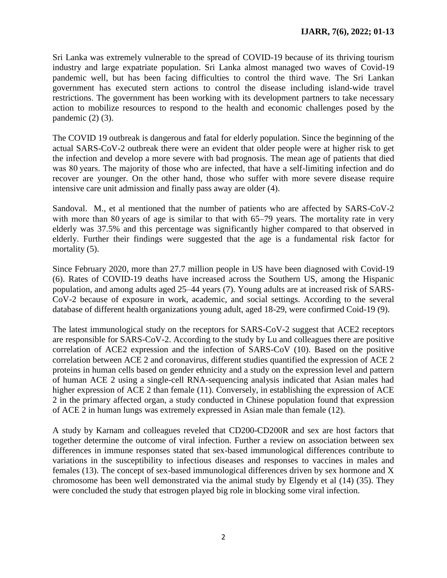Sri Lanka was extremely vulnerable to the spread of COVID-19 because of its thriving tourism industry and large expatriate population. Sri Lanka almost managed two waves of Covid-19 pandemic well, but has been facing difficulties to control the third wave. The Sri Lankan government has executed stern actions to control the disease including island-wide travel restrictions. The government has been working with its development partners to take necessary action to mobilize resources to respond to the health and economic challenges posed by the pandemic  $(2)$   $(3)$ .

The COVID 19 outbreak is dangerous and fatal for elderly population. Since the beginning of the actual SARS-CoV-2 outbreak there were an evident that older people were at higher risk to get the infection and develop a more severe with bad prognosis. The mean age of patients that died was 80 years. The majority of those who are infected, that have a self-limiting infection and do recover are younger. On the other hand, those who suffer with more severe disease require intensive care unit admission and finally pass away are older (4).

Sandoval. M., et al mentioned that the number of patients who are affected by SARS-CoV-2 with more than 80 years of age is similar to that with 65–79 years. The mortality rate in very elderly was 37.5% and this percentage was significantly higher compared to that observed in elderly. Further their findings were suggested that the age is a fundamental risk factor for mortality (5).

Since February 2020, more than 27.7 million people in US have been diagnosed with Covid-19 (6). Rates of COVID-19 deaths have increased across the Southern US, among the Hispanic population, and among adults aged 25–44 years (7). Young adults are at increased risk of SARS-CoV-2 because of exposure in work, academic, and social settings. According to the several database of different health organizations young adult, aged 18-29, were confirmed Coid-19 (9).

The latest immunological study on the receptors for SARS-CoV-2 suggest that ACE2 receptors are responsible for SARS-CoV-2. According to the study by Lu and colleagues there are positive correlation of ACE2 expression and the infection of SARS-CoV (10). Based on the positive correlation between ACE 2 and coronavirus, different studies quantified the expression of ACE 2 proteins in human cells based on gender ethnicity and a study on the expression level and pattern of human ACE 2 using a single-cell RNA-sequencing analysis indicated that Asian males had higher expression of ACE 2 than female (11). Conversely, in establishing the expression of ACE 2 in the primary affected organ, a study conducted in Chinese population found that expression of ACE 2 in human lungs was extremely expressed in Asian male than female (12).

A study by Karnam and colleagues reveled that CD200-CD200R and sex are host factors that together determine the outcome of viral infection. Further a review on association between sex differences in immune responses stated that sex-based immunological differences contribute to variations in the susceptibility to infectious diseases and responses to vaccines in males and females (13). The concept of sex-based immunological differences driven by sex hormone and X chromosome has been well demonstrated via the animal study by Elgendy et al (14) (35). They were concluded the study that estrogen played big role in blocking some viral infection.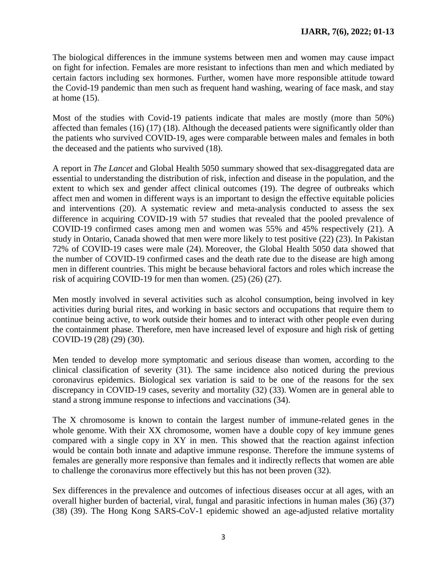The biological differences in the immune systems between men and women may cause impact on fight for infection. Females are more resistant to infections than men and which mediated by certain factors including sex hormones. Further, women have more responsible attitude toward the Covid-19 pandemic than men such as frequent hand washing, wearing of face mask, and stay at home (15).

Most of the studies with Covid-19 patients indicate that males are mostly (more than 50%) affected than females (16) (17) (18). Although the deceased patients were significantly older than the patients who survived COVID-19, ages were comparable between males and females in both the deceased and the patients who survived (18).

A report in *The Lancet* and Global Health 5050 summary showed that sex-disaggregated data are essential to understanding the distribution of risk, infection and disease in the population, and the extent to which sex and gender affect clinical outcomes (19). The degree of outbreaks which affect men and women in different ways is an important to design the effective equitable policies and interventions (20). A systematic review and meta-analysis conducted to assess the sex difference in acquiring COVID-19 with 57 studies that revealed that the pooled prevalence of COVID-19 confirmed cases among men and women was 55% and 45% respectively (21). A study in Ontario, Canada showed that men were more likely to test positive (22) (23). In Pakistan 72% of COVID-19 cases were male (24). Moreover, the Global Health 5050 data showed that the number of COVID-19 confirmed cases and the death rate due to the disease are high among men in different countries. This might be because behavioral factors and roles which increase the risk of acquiring COVID-19 for men than women. (25) (26) (27).

Men mostly involved in several activities such as alcohol consumption, being involved in key activities during burial rites, and working in basic sectors and occupations that require them to continue being active, to work outside their homes and to interact with other people even during the containment phase. Therefore, men have increased level of exposure and high risk of getting COVID-19 (28) (29) (30).

Men tended to develop more symptomatic and serious disease than women, according to the clinical classification of severity (31). The same incidence also noticed during the previous coronavirus epidemics. Biological sex variation is said to be one of the reasons for the sex discrepancy in COVID-19 cases, severity and mortality (32) (33). Women are in general able to stand a strong immune response to infections and vaccinations (34).

The X chromosome is known to contain the largest number of immune-related genes in the whole genome. With their XX chromosome, women have a double copy of key immune genes compared with a single copy in XY in men. This showed that the reaction against infection would be contain both innate and adaptive immune response. Therefore the immune systems of females are generally more responsive than females and it indirectly reflects that women are able to challenge the coronavirus more effectively but this has not been proven (32).

Sex differences in the prevalence and outcomes of infectious diseases occur at all ages, with an overall higher burden of bacterial, viral, fungal and parasitic infections in human males (36) (37) (38) (39). The Hong Kong SARS-CoV-1 epidemic showed an age-adjusted relative mortality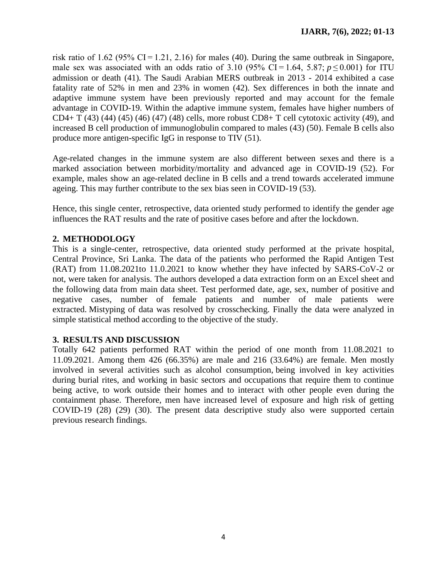risk ratio of 1.62 (95% CI $=$ 1.21, 2.16) for males (40). During the same outbreak in Singapore, male sex was associated with an odds ratio of 3.10 (95% CI<sup> $=$ </sup> 1.64, 5.87; *p* $\leq$  0.001) for ITU admission or death (41). The Saudi Arabian MERS outbreak in 2013 - 2014 exhibited a case fatality rate of 52% in men and 23% in women (42). Sex differences in both the innate and adaptive immune system have been previously reported and may account for the female advantage in COVID-19. Within the adaptive immune system, females have higher numbers of CD4+ T (43) (44) (45) (46) (47) (48) cells, more robust CD8+ T cell cytotoxic activity (49), and increased B cell production of immunoglobulin compared to males (43) (50). Female B cells also produce more antigen-specific IgG in response to TIV (51).

Age-related changes in the immune system are also different between sexes and there is a marked association between morbidity/mortality and advanced age in COVID-19 (52). For example, males show an age-related decline in B cells and a trend towards accelerated immune ageing. This may further contribute to the sex bias seen in COVID-19 (53).

Hence, this single center, retrospective, data oriented study performed to identify the gender age influences the RAT results and the rate of positive cases before and after the lockdown.

# **2. METHODOLOGY**

This is a single-center, retrospective, data oriented study performed at the private hospital, Central Province, Sri Lanka. The data of the patients who performed the Rapid Antigen Test (RAT) from 11.08.2021to 11.0.2021 to know whether they have infected by SARS-CoV-2 or not, were taken for analysis. The authors developed a data extraction form on an Excel sheet and the following data from main data sheet. Test performed date, age, sex, number of positive and negative cases, number of female patients and number of male patients were extracted. Mistyping of data was resolved by crosschecking. Finally the data were analyzed in simple statistical method according to the objective of the study.

# **3. RESULTS AND DISCUSSION**

Totally 642 patients performed RAT within the period of one month from 11.08.2021 to 11.09.2021. Among them 426 (66.35%) are male and 216 (33.64%) are female. Men mostly involved in several activities such as alcohol consumption, being involved in key activities during burial rites, and working in basic sectors and occupations that require them to continue being active, to work outside their homes and to interact with other people even during the containment phase. Therefore, men have increased level of exposure and high risk of getting COVID-19 (28) (29) (30). The present data descriptive study also were supported certain previous research findings.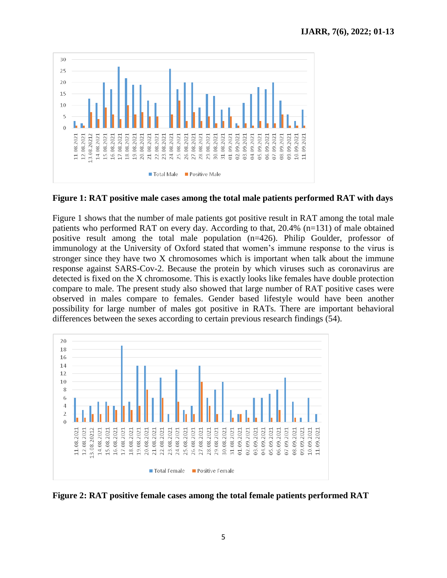

**Figure 1: RAT positive male cases among the total male patients performed RAT with days**

Figure 1 shows that the number of male patients got positive result in RAT among the total male patients who performed RAT on every day. According to that, 20.4% (n=131) of male obtained positive result among the total male population (n=426). Philip Goulder, professor of immunology at the University of Oxford stated that women's immune response to the virus is stronger since they have two X chromosomes which is important when talk about the immune response against SARS-Cov-2. Because the protein by which viruses such as coronavirus are detected is fixed on the X chromosome. This is exactly looks like females have double protection compare to male. The present study also showed that large number of RAT positive cases were observed in males compare to females. Gender based lifestyle would have been another possibility for large number of males got positive in RATs. There are important behavioral differences between the sexes according to certain previous research findings (54).



**Figure 2: RAT positive female cases among the total female patients performed RAT**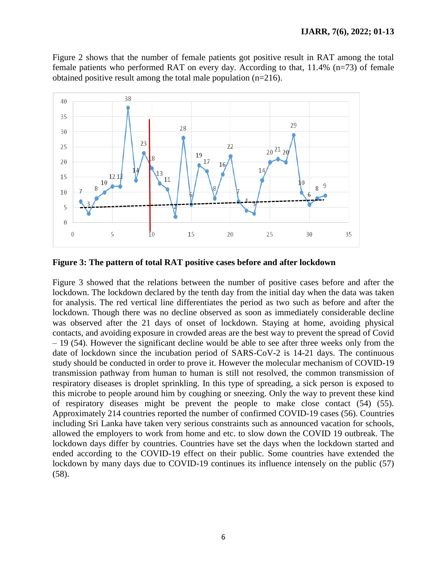Figure 2 shows that the number of female patients got positive result in RAT among the total female patients who performed RAT on every day. According to that, 11.4% (n=73) of female obtained positive result among the total male population (n=216).



**Figure 3: The pattern of total RAT positive cases before and after lockdown**

Figure 3 showed that the relations between the number of positive cases before and after the lockdown. The lockdown declared by the tenth day from the initial day when the data was taken for analysis. The red vertical line differentiates the period as two such as before and after the lockdown. Though there was no decline observed as soon as immediately considerable decline was observed after the 21 days of onset of lockdown. Staying at home, avoiding physical contacts, and avoiding exposure in crowded areas are the best way to prevent the spread of Covid – 19 (54). However the significant decline would be able to see after three weeks only from the date of lockdown since the incubation period of SARS-CoV-2 is 14-21 days. The continuous study should be conducted in order to prove it. However the molecular mechanism of COVID-19 transmission pathway from human to human is still not resolved, the common transmission of respiratory diseases is droplet sprinkling. In this type of spreading, a sick person is exposed to this microbe to people around him by coughing or sneezing. Only the way to prevent these kind of respiratory diseases might be prevent the people to make close contact (54) (55). Approximately 214 countries reported the number of confirmed COVID-19 cases (56). Countries including Sri Lanka have taken very serious constraints such as announced vacation for schools, allowed the employers to work from home and etc. to slow down the COVID 19 outbreak. The lockdown days differ by countries. Countries have set the days when the lockdown started and ended according to the COVID-19 effect on their public. Some countries have extended the lockdown by many days due to COVID-19 continues its influence intensely on the public (57) (58).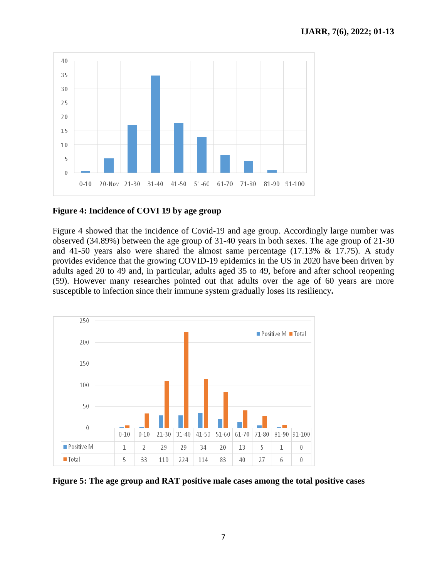

#### **Figure 4: Incidence of COVI 19 by age group**

Figure 4 showed that the incidence of Covid-19 and age group. Accordingly large number was observed (34.89%) between the age group of 31-40 years in both sexes. The age group of 21-30 and 41-50 years also were shared the almost same percentage (17.13% & 17.75). A study provides evidence that the growing COVID-19 epidemics in the US in 2020 have been driven by adults aged 20 to 49 and, in particular, adults aged 35 to 49, before and after school reopening (59). However many researches pointed out that adults over the age of 60 years are more susceptible to infection since their immune system gradually [loses its resiliency](https://www.aarp.org/health/conditions-treatments/info-2020/coronavirus-severe-seniors.html)**.** 



**Figure 5: The age group and RAT positive male cases among the total positive cases**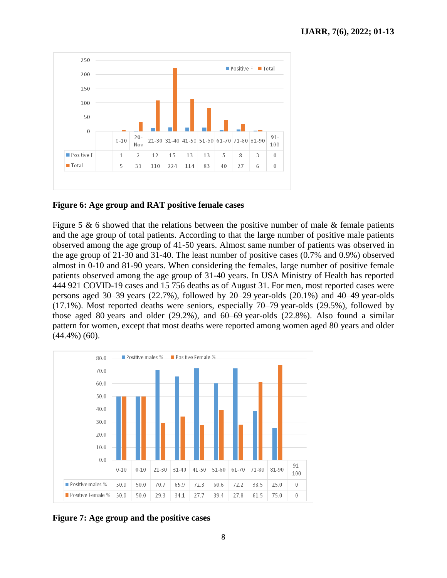

#### **Figure 6: Age group and RAT positive female cases**

Figure 5  $\&$  6 showed that the relations between the positive number of male  $\&$  female patients and the age group of total patients. According to that the large number of positive male patients observed among the age group of 41-50 years. Almost same number of patients was observed in the age group of 21-30 and 31-40. The least number of positive cases (0.7% and 0.9%) observed almost in 0-10 and 81-90 years. When considering the females, large number of positive female patients observed among the age group of 31-40 years. In USA Ministry of Health has reported 444 921 COVID-19 cases and 15 756 deaths as of August 31. For men, most reported cases were persons aged 30–39 years (22.7%), followed by 20–29 year-olds (20.1%) and 40–49 year-olds (17.1%). Most reported deaths were seniors, especially 70–79 year-olds (29.5%), followed by those aged 80 years and older (29.2%), and 60–69 year-olds (22.8%). Also found a similar pattern for women, except that most deaths were reported among women aged 80 years and older (44.4%) (60).



**Figure 7: Age group and the positive cases**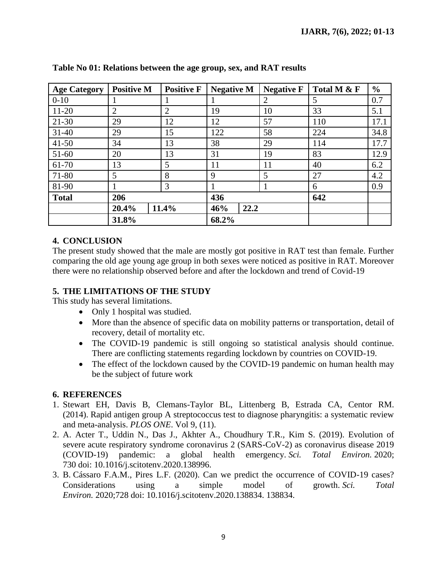| <b>Age Category</b> | <b>Positive M</b> | <b>Positive F</b> | <b>Negative M</b> | <b>Negative F</b> | Total M & F | $\frac{0}{0}$ |
|---------------------|-------------------|-------------------|-------------------|-------------------|-------------|---------------|
| $0 - 10$            | 1                 |                   |                   | 2                 | 5           | 0.7           |
| $11 - 20$           | $\overline{2}$    | $\overline{2}$    | 19                | 10                | 33          | 5.1           |
| $21 - 30$           | 29                | 12                | 12                | 57                | 110         | 17.1          |
| $31 - 40$           | 29                | 15                | 122               | 58                | 224         | 34.8          |
| $41 - 50$           | 34                | 13                | 38                | 29                | 114         | 17.7          |
| 51-60               | 20                | 13                | 31                | 19                | 83          | 12.9          |
| 61-70               | 13                | 5                 | 11                | 11                | 40          | 6.2           |
| 71-80               | 5                 | 8                 | 9                 | 5                 | 27          | 4.2           |
| 81-90               |                   | 3                 |                   |                   | 6           | 0.9           |
| <b>Total</b>        | 206               |                   | 436               |                   | 642         |               |
|                     | 20.4%             | 11.4%             | 22.2<br>46%       |                   |             |               |
|                     | 31.8%             |                   | 68.2%             |                   |             |               |

#### **Table No 01: Relations between the age group, sex, and RAT results**

# **4. CONCLUSION**

The present study showed that the male are mostly got positive in RAT test than female. Further comparing the old age young age group in both sexes were noticed as positive in RAT. Moreover there were no relationship observed before and after the lockdown and trend of Covid-19

# **5. THE LIMITATIONS OF THE STUDY**

This study has several limitations.

- Only 1 hospital was studied.
- More than the absence of specific data on mobility patterns or transportation, detail of recovery, detail of mortality etc.
- The COVID-19 pandemic is still ongoing so statistical analysis should continue. There are conflicting statements regarding lockdown by countries on COVID-19.
- The effect of the lockdown caused by the COVID-19 pandemic on human health may be the subject of future work

# **6. REFERENCES**

- 1. Stewart EH, Davis B, Clemans-Taylor BL, Littenberg B, Estrada CA, Centor RM. (2014). [Rapid antigen group A streptococcus test to diagnose pharyngitis: a systematic review](https://www.ncbi.nlm.nih.gov/pmc/articles/PMC4219770)  [and meta-analysis.](https://www.ncbi.nlm.nih.gov/pmc/articles/PMC4219770) *PLOS ONE*. Vol 9, (11).
- 2. A. Acter T., Uddin N., Das J., Akhter A., Choudhury T.R., Kim S. (2019). Evolution of severe acute respiratory syndrome coronavirus 2 (SARS-CoV-2) as coronavirus disease 2019 (COVID-19) pandemic: a global health emergency. *Sci. Total Environ.* 2020; 730 doi: 10.1016/j.scitotenv.2020.138996.
- 3. B. Cássaro F.A.M., Pires L.F. (2020). Can we predict the occurrence of COVID-19 cases? Considerations using a simple model of growth. *Sci. Total Environ.* 2020;728 doi: 10.1016/j.scitotenv.2020.138834. 138834.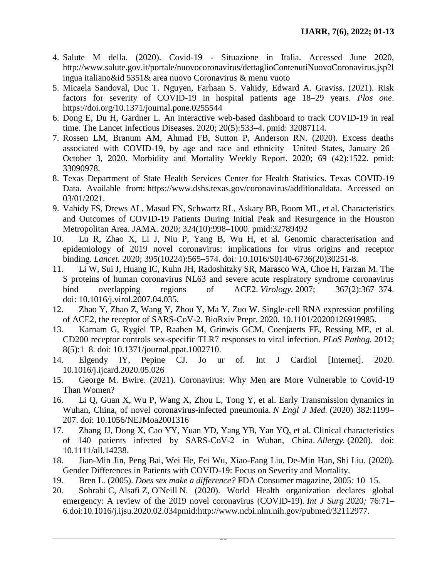- 4. Salute M della. (2020). Covid-19 Situazione in Italia. Accessed June 2020, [http://www.salute.gov.it/portale/nuovocoronavirus/dettaglioContenutiNuovoCoronavirus.jsp?l](http://www.salute.gov.it/portale/nuovocoronavirus/dettaglioContenutiNuovoCoronavirus.jsp?lingua%20italiano&id%205351&%20area%20nuovo%20Coronavirus%20&%20menu%20vuoto) [ingua italiano&id 5351& area nuovo Coronavirus & menu vuoto](http://www.salute.gov.it/portale/nuovocoronavirus/dettaglioContenutiNuovoCoronavirus.jsp?lingua%20italiano&id%205351&%20area%20nuovo%20Coronavirus%20&%20menu%20vuoto)
- 5. Micaela Sandoval, Duc T. Nguyen, Farhaan S. Vahidy, Edward A. Graviss. (2021). Risk factors for severity of COVID-19 in hospital patients age 18–29 years. *Plos one*. <https://doi.org/10.1371/journal.pone.0255544>
- 6. Dong E, Du H, Gardner L. An interactive web-based dashboard to track COVID-19 in real time. The Lancet Infectious Diseases. 2020; 20(5):533–4. pmid: 32087114.
- 7. Rossen LM, Branum AM, Ahmad FB, Sutton P, Anderson RN. (2020). Excess deaths associated with COVID-19, by age and race and ethnicity—United States, January 26– October 3, 2020. Morbidity and Mortality Weekly Report. 2020; 69 (42):1522. pmid: 33090978.
- 8. Texas Department of State Health Services Center for Health Statistics. Texas COVID-19 Data. Available from: [https://www.dshs.texas.gov/coronavirus/additionaldata. Accessed on](https://www.dshs.texas.gov/coronavirus/additionaldata.%20Accessed%20on%2003/01/2021)  [03/01/2021.](https://www.dshs.texas.gov/coronavirus/additionaldata.%20Accessed%20on%2003/01/2021)
- 9. Vahidy FS, Drews AL, Masud FN, Schwartz RL, Askary BB, Boom ML, et al. Characteristics and Outcomes of COVID-19 Patients During Initial Peak and Resurgence in the Houston Metropolitan Area. JAMA. 2020; 324(10):998–1000. pmid:32789492
- 10. Lu R, Zhao X, Li J, Niu P, Yang B, Wu H, et al. Genomic characterisation and epidemiology of 2019 novel coronavirus: implications for virus origins and receptor binding. *Lancet.* 2020; 395(10224):565–574. doi: 10.1016/S0140-6736(20)30251-8.
- 11. Li W, Sui J, Huang IC, Kuhn JH, Radoshitzky SR, Marasco WA, Choe H, Farzan M. The S proteins of human coronavirus NL63 and severe acute respiratory syndrome coronavirus bind overlapping regions of ACE2. *Virology.* 2007; 367(2):367–374. doi: 10.1016/j.virol.2007.04.035.
- 12. Zhao Y, Zhao Z, Wang Y, Zhou Y, Ma Y, Zuo W. Single-cell RNA expression profiling of ACE2, the receptor of SARS-CoV-2. BioRxiv Prepr. 2020. 10.1101/20200126919985.
- 13. Karnam G, Rygiel TP, Raaben M, Grinwis GCM, Coenjaerts FE, Ressing ME, et al. CD200 receptor controls sex-specific TLR7 responses to viral infection. *PLoS Pathog.* 2012; 8(5):1–8. doi: 10.1371/journal.ppat.1002710.
- 14. Elgendy IY, Pepine CJ. Jo ur of. Int J Cardiol [Internet]. 2020. 10.1016/j.ijcard.2020.05.026
- 15. [George M. Bwire.](https://www.ncbi.nlm.nih.gov/pubmed/?term=Bwire%20GM%5BAuthor%5D&cauthor=true&cauthor_uid=32838138) (2021). Coronavirus: Why Men are More Vulnerable to Covid-19 Than Women?
- 16. Li Q, Guan X, Wu P, Wang X, Zhou L, Tong Y, et al. Early Transmission dynamics in Wuhan, China, of novel coronavirus-infected pneumonia. *N Engl J Med.* (2020) 382:1199– 207. doi: 10.1056/NEJMoa2001316
- 17. Zhang JJ, Dong X, Cao YY, Yuan YD, Yang YB, Yan YQ, et al. Clinical characteristics of 140 patients infected by SARS-CoV-2 in Wuhan, China. *Allergy.* (2020). doi: 10.1111/all.14238.
- 18. [Jian-Min Jin,](https://www.frontiersin.org/people/u/946155) Peng Bai, Wei He, Fei Wu, Xiao-Fang Liu, De-Min Han, Shi Liu. (2020). Gender Differences in Patients with COVID-19: Focus on Severity and Mortality.
- 19. Bren L. (2005). *Does sex make a difference?* FDA Consumer magazine*,* 2005*:* 10*–*15*.*
- 20. Sohrabi C, Alsafi Z, O'Neill N. (2020). World Health organization declares global emergency: A review of the 2019 novel coronavirus (COVID-19)*. Int J Surg* 2020*;* 76:71*–* 6*.*[doi:10.1016/j.ijsu.2020.02.034p](http://dx.doi.org/10.1016/j.ijsu.2020.02.034)mid:http://www.ncbi.nlm.nih.gov/pubmed/32112977.

 $\overline{\phantom{a}}$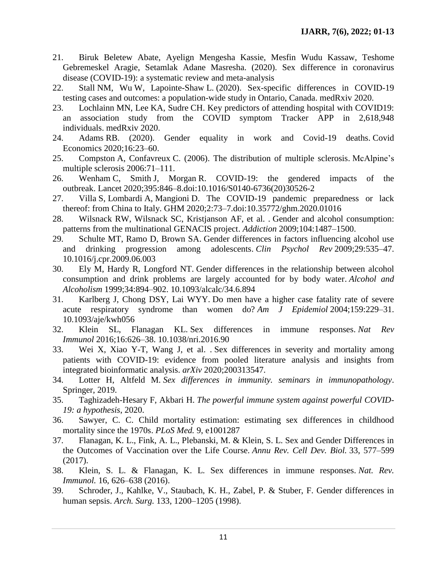- 21. Biruk Beletew Abate, Ayelign Mengesha Kassie, Mesfin Wudu Kassaw, Teshome Gebremeskel Aragie, Setamlak Adane Masresha. (2020). Sex difference in coronavirus disease (COVID-19): a systematic review and meta-analysis
- 22. Stall NM, Wu W, Lapointe-Shaw L. (2020). Sex-specific differences in COVID-19 testing cases and outcomes: a population-wide study in Ontario, Canada. medRxiv 2020.
- 23. Lochlainn MN, Lee KA, Sudre CH. Key predictors of attending hospital with COVID19: an association study from the COVID symptom Tracker APP in 2,618,948 individuals. medRxiv 2020.
- 24. Adams RB. (2020). Gender equality in work and Covid-19 deaths. Covid Economics 2020;16:23–60.
- 25. Compston A, Confavreux C. (2006). The distribution of multiple sclerosis. McAlpine's multiple sclerosis 2006:71–111.
- 26. Wenham C, Smith J, Morgan R. COVID-19: the gendered impacts of the outbreak. Lancet 2020;395:846–8[.doi:10.1016/S0140-6736\(20\)30526-2](http://dx.doi.org/10.1016/S0140-6736(20)30526-2)
- 27. Villa S, Lombardi A, Mangioni D. The COVID-19 pandemic preparedness or lack thereof: from China to Italy. GHM 2020;2:73–7[.doi:10.35772/ghm.2020.01016](http://dx.doi.org/10.35772/ghm.2020.01016)
- 28. Wilsnack RW, Wilsnack SC, Kristjanson AF, et al. . Gender and alcohol consumption: patterns from the multinational GENACIS project. *Addiction* 2009;104:1487–1500.
- 29. Schulte MT, Ramo D, Brown SA. Gender differences in factors influencing alcohol use and drinking progression among adolescents. *Clin Psychol Rev* 2009;29:535–47. 10.1016/j.cpr.2009.06.003
- 30. Ely M, Hardy R, Longford NT. Gender differences in the relationship between alcohol consumption and drink problems are largely accounted for by body water. *Alcohol and Alcoholism* 1999;34:894–902. 10.1093/alcalc/34.6.894
- 31. Karlberg J, Chong DSY, Lai WYY. Do men have a higher case fatality rate of severe acute respiratory syndrome than women do? *Am J Epidemiol* 2004;159:229–31. 10.1093/aje/kwh056
- 32. Klein SL, Flanagan KL. Sex differences in immune responses. *Nat Rev Immunol* 2016;16:626–38. 10.1038/nri.2016.90
- 33. Wei X, Xiao Y-T, Wang J, et al. . Sex differences in severity and mortality among patients with COVID-19: evidence from pooled literature analysis and insights from integrated bioinformatic analysis. *arXiv* 2020;200313547.
- 34. Lotter H, Altfeld M. *Sex differences in immunity. seminars in immunopathology*. Springer, 2019.
- 35. Taghizadeh-Hesary F, Akbari H. *The powerful immune system against powerful COVID-19: a hypothesis*, 2020.
- 36. Sawyer, C. C. Child mortality estimation: estimating sex differences in childhood mortality since the 1970s. *PLoS Med.* 9, e1001287
- 37. Flanagan, K. L., Fink, A. L., Plebanski, M. & Klein, S. L. Sex and Gender Differences in the Outcomes of Vaccination over the Life Course. *Annu Rev. Cell Dev. Biol.* 33, 577–599 (2017).
- 38. Klein, S. L. & Flanagan, K. L. Sex differences in immune responses. *Nat. Rev. Immunol.* 16, 626–638 (2016).
- 39. Schroder, J., Kahlke, V., Staubach, K. H., Zabel, P. & Stuber, F. Gender differences in human sepsis. *Arch. Surg.* 133, 1200–1205 (1998).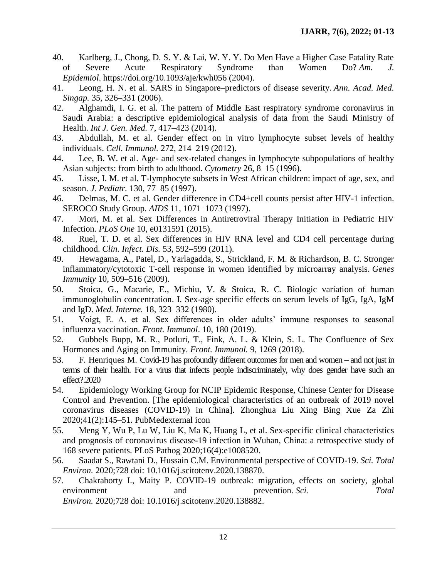- 40. Karlberg, J., Chong, D. S. Y. & Lai, W. Y. Y. Do Men Have a Higher Case Fatality Rate of Severe Acute Respiratory Syndrome than Women Do? *Am. J. Epidemiol*. <https://doi.org/10.1093/aje/kwh056> (2004).
- 41. Leong, H. N. et al. SARS in Singapore–predictors of disease severity. *Ann. Acad. Med. Singap.* 35, 326–331 (2006).
- 42. Alghamdi, I. G. et al. The pattern of Middle East respiratory syndrome coronavirus in Saudi Arabia: a descriptive epidemiological analysis of data from the Saudi Ministry of Health. *Int J. Gen. Med.* 7, 417–423 (2014).
- 43. Abdullah, M. et al. Gender effect on in vitro lymphocyte subset levels of healthy individuals. *Cell. Immunol.* 272, 214–219 (2012).
- 44. Lee, B. W. et al. Age- and sex-related changes in lymphocyte subpopulations of healthy Asian subjects: from birth to adulthood. *Cytometry* 26, 8–15 (1996).
- 45. Lisse, I. M. et al. T-lymphocyte subsets in West African children: impact of age, sex, and season. *J. Pediatr.* 130, 77–85 (1997).
- 46. Delmas, M. C. et al. Gender difference in CD4+cell counts persist after HIV-1 infection. SEROCO Study Group. *AIDS* 11, 1071–1073 (1997).
- 47. Mori, M. et al. Sex Differences in Antiretroviral Therapy Initiation in Pediatric HIV Infection. *PLoS One* 10, e0131591 (2015).
- 48. Ruel, T. D. et al. Sex differences in HIV RNA level and CD4 cell percentage during childhood. *Clin. Infect. Dis.* 53, 592–599 (2011).
- 49. Hewagama, A., Patel, D., Yarlagadda, S., Strickland, F. M. & Richardson, B. C. Stronger inflammatory/cytotoxic T-cell response in women identified by microarray analysis. *Genes Immunity* 10, 509–516 (2009).
- 50. Stoica, G., Macarie, E., Michiu, V. & Stoica, R. C. Biologic variation of human immunoglobulin concentration. I. Sex-age specific effects on serum levels of IgG, IgA, IgM and IgD. *Med. Interne.* 18, 323–332 (1980).
- 51. Voigt, E. A. et al. Sex differences in older adults' immune responses to seasonal influenza vaccination. *Front. Immunol*. 10, 180 (2019).
- 52. Gubbels Bupp, M. R., Potluri, T., Fink, A. L. & Klein, S. L. The Confluence of Sex Hormones and Aging on Immunity. *Front. Immunol.* 9, 1269 (2018).
- 53. F. Henriques M. Covid-19 has profoundly different outcomes for men and women and not just in terms of their health. For a virus that infects people indiscriminately, why does gender have such an effect?.2020
- 54. Epidemiology Working Group for NCIP Epidemic Response, Chinese Center for Disease Control and Prevention. [The epidemiological characteristics of an outbreak of 2019 novel coronavirus diseases (COVID-19) in China]. Zhonghua Liu Xing Bing Xue Za Zhi 2020;41(2):145–51. [PubMedexternal](http://www.ncbi.nlm.nih.gov/pubmed/32064853) icon
- 55. Meng Y, Wu P, Lu W, Liu K, Ma K, Huang L, et al. Sex-specific clinical characteristics and prognosis of coronavirus disease-19 infection in Wuhan, China: a retrospective study of 168 severe patients. PLoS Pathog 2020;16(4):e1008520.
- 56. Saadat S., Rawtani D., Hussain C.M. Environmental perspective of COVID-19. *Sci. Total Environ.* 2020;728 doi: 10.1016/j.scitotenv.2020.138870.
- 57. Chakraborty I., Maity P. COVID-19 outbreak: migration, effects on society, global environment and prevention. *Sci. Total Environ.* 2020;728 doi: 10.1016/j.scitotenv.2020.138882.